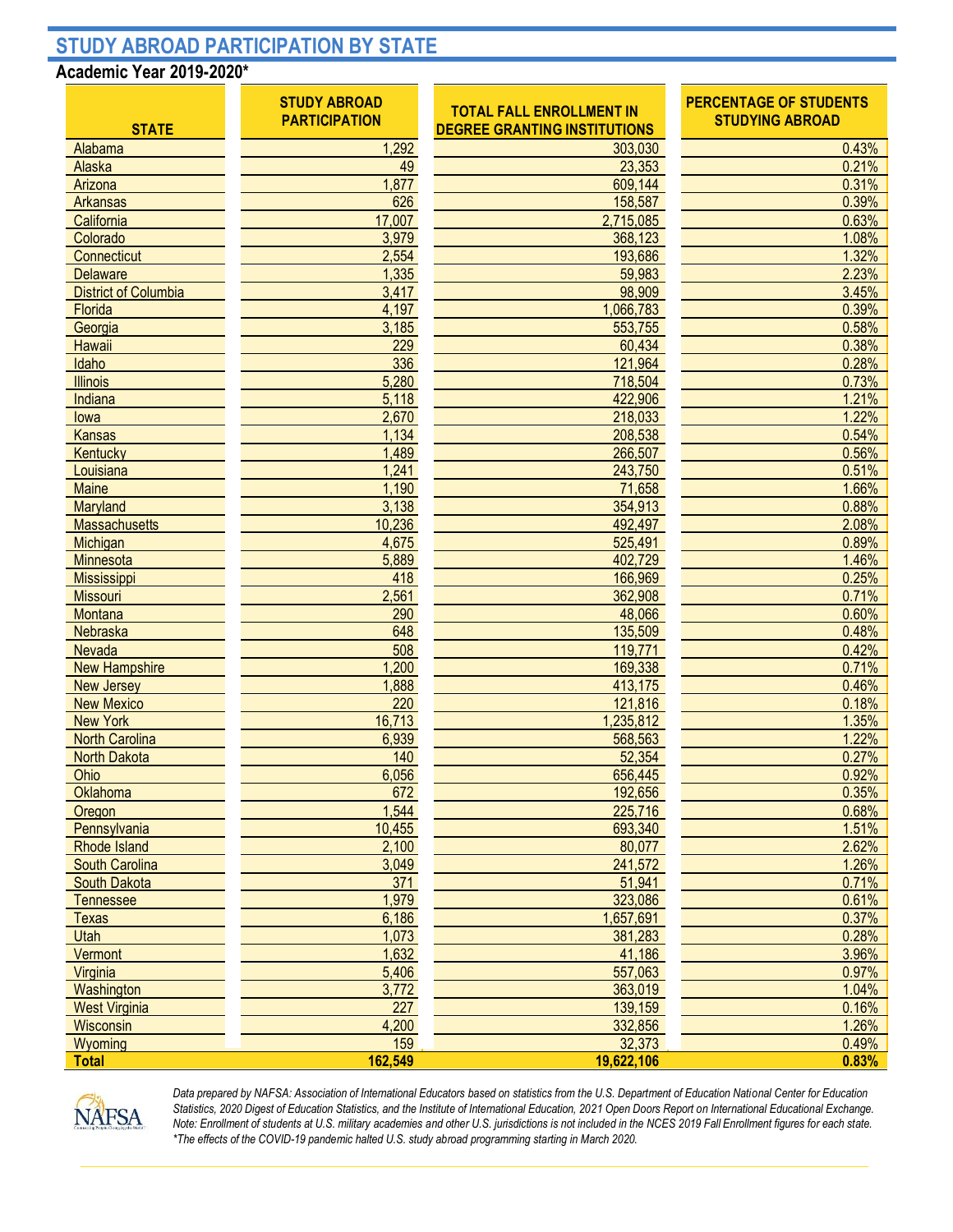## **STUDY ABROAD PARTICIPATION BY STATE**

## **Academic Year 2019-2020\***

| <b>STATE</b>                | <b>STUDY ABROAD</b><br><b>PARTICIPATION</b> | <b>TOTAL FALL ENROLLMENT IN</b><br><b>DEGREE GRANTING INSTITUTIONS</b> | <b>PERCENTAGE OF STUDENTS</b><br><b>STUDYING ABROAD</b> |  |
|-----------------------------|---------------------------------------------|------------------------------------------------------------------------|---------------------------------------------------------|--|
| Alabama                     | 1,292                                       | 303,030                                                                | 0.43%                                                   |  |
| Alaska                      | 49                                          | 23,353                                                                 | 0.21%                                                   |  |
| Arizona                     | 1,877                                       | 609,144                                                                | 0.31%                                                   |  |
| Arkansas                    | 626                                         | 158,587                                                                | 0.39%                                                   |  |
| California                  | 17,007                                      | 2,715,085                                                              | 0.63%                                                   |  |
| Colorado                    | 3,979                                       | 368,123                                                                | 1.08%                                                   |  |
| Connecticut                 | 2,554                                       | 193,686                                                                | 1.32%                                                   |  |
| <b>Delaware</b>             | 1,335                                       | 59,983                                                                 | 2.23%                                                   |  |
| <b>District of Columbia</b> | 3,417                                       | 98,909                                                                 | 3.45%                                                   |  |
| Florida                     | 4,197                                       | 1,066,783                                                              | 0.39%                                                   |  |
| Georgia                     | 3,185                                       | 553,755                                                                | 0.58%                                                   |  |
| Hawaii                      | 229                                         | 60,434                                                                 | 0.38%                                                   |  |
| Idaho                       | 336                                         | 121,964                                                                | 0.28%                                                   |  |
| <b>Illinois</b>             | 5,280                                       | 718,504                                                                | 0.73%                                                   |  |
| Indiana                     | 5,118                                       | 422,906                                                                | 1.21%                                                   |  |
| lowa                        | 2,670                                       | 218,033                                                                | 1.22%                                                   |  |
| Kansas                      | 1,134                                       | 208,538                                                                | 0.54%                                                   |  |
| Kentucky                    | 1,489                                       | 266,507                                                                | 0.56%                                                   |  |
| Louisiana                   | 1,241                                       | 243,750                                                                | 0.51%                                                   |  |
| Maine                       | 1,190                                       | 71,658                                                                 | 1.66%                                                   |  |
| Maryland                    | 3,138                                       | 354,913                                                                | 0.88%                                                   |  |
| Massachusetts               | 10,236                                      | 492,497                                                                | 2.08%                                                   |  |
| Michigan                    | 4,675                                       | 525,491                                                                | 0.89%                                                   |  |
| Minnesota                   | 5,889                                       | 402,729                                                                | 1.46%                                                   |  |
| Mississippi                 | 418                                         | 166,969                                                                | 0.25%                                                   |  |
| <b>Missouri</b>             | 2,561                                       | 362,908                                                                | 0.71%                                                   |  |
| Montana                     | 290                                         | 48,066                                                                 | 0.60%                                                   |  |
| Nebraska                    | 648                                         | 135,509                                                                | 0.48%                                                   |  |
| Nevada                      | 508                                         | 119,771                                                                | 0.42%                                                   |  |
| <b>New Hampshire</b>        | 1,200                                       | 169,338                                                                | 0.71%                                                   |  |
| <b>New Jersey</b>           | 1,888                                       | 413,175                                                                | 0.46%                                                   |  |
| <b>New Mexico</b>           | 220                                         | 121,816                                                                | 0.18%                                                   |  |
| <b>New York</b>             | 16,713                                      | 1,235,812                                                              | 1.35%                                                   |  |
| <b>North Carolina</b>       | 6,939                                       | 568,563                                                                | 1.22%                                                   |  |
| <b>North Dakota</b>         | 140                                         | 52,354                                                                 | 0.27%                                                   |  |
| Ohio                        | 6,056                                       | 656,445                                                                | 0.92%                                                   |  |
| Oklahoma                    | 672                                         | 192,656                                                                | 0.35%                                                   |  |
| Oregon                      | 1,544                                       | 225,716                                                                | 0.68%                                                   |  |
| Pennsylvania                | 10,455                                      | 693,340                                                                | 1.51%                                                   |  |
| <b>Rhode Island</b>         | 2,100                                       | 80,077                                                                 | 2.62%                                                   |  |
| <b>South Carolina</b>       | 3,049                                       | 241,572                                                                | 1.26%                                                   |  |
| <b>South Dakota</b>         | 371                                         | 51,941                                                                 | 0.71%                                                   |  |
| <b>Tennessee</b>            | 1,979                                       | 323,086                                                                | 0.61%                                                   |  |
| <b>Texas</b>                | 6,186                                       | 1,657,691                                                              | 0.37%                                                   |  |
| Utah                        | 1,073                                       | 381,283                                                                | 0.28%                                                   |  |
| Vermont                     | 1,632                                       | 41,186                                                                 | 3.96%                                                   |  |
| Virginia                    | 5,406                                       | 557,063                                                                | 0.97%                                                   |  |
| Washington                  | 3,772                                       | 363,019                                                                | 1.04%                                                   |  |
| <b>West Virginia</b>        | 227                                         | 139,159                                                                | 0.16%                                                   |  |
| Wisconsin                   | 4,200                                       | 332,856                                                                | 1.26%                                                   |  |
| Wyoming                     | 159                                         | 32,373                                                                 | 0.49%                                                   |  |
| <b>Total</b>                | 162,549                                     | 19,622,106                                                             | 0.83%                                                   |  |



*Data prepared by NAFSA: Association of International Educators based on statistics from the U.S. Department of Education National Center for Education Statistics, 2020 Digest of Education Statistics, and the Institute of International Education, 2021 Open Doors Report on International Educational Exchange. Note: Enrollment of students at U.S. military academies and other U.S. jurisdictions is not included in the NCES 2019 Fall Enrollment figures for each state. \*The effects of the COVID-19 pandemic halted U.S. study abroad programming starting in March 2020.*